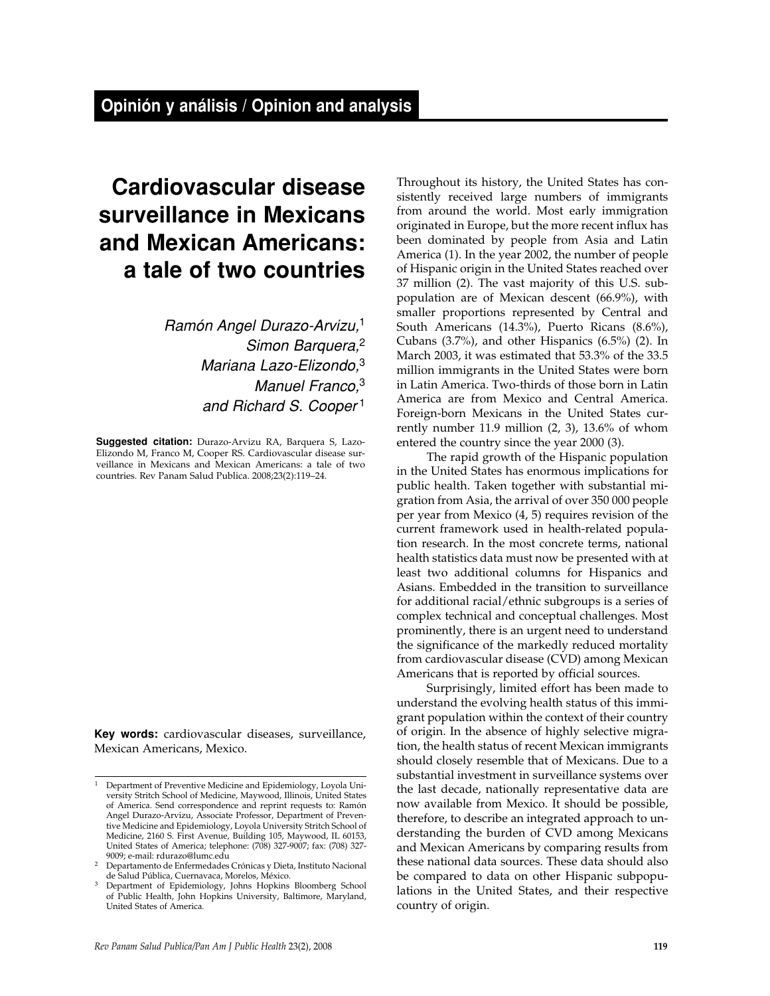# **Cardiovascular disease surveillance in Mexicans and Mexican Americans: a tale of two countries**

Ramón Angel Durazo-Arvizu,<sup>1</sup> Simon Barquera,<sup>2</sup> Mariana Lazo-Elizondo,<sup>3</sup> Manuel Franco,<sup>3</sup> and Richard S. Cooper<sup>1</sup>

**Suggested citation:** Durazo-Arvizu RA, Barquera S, Lazo-Elizondo M, Franco M, Cooper RS. Cardiovascular disease surveillance in Mexicans and Mexican Americans: a tale of two countries. Rev Panam Salud Publica. 2008;23(2):119–24.

**Key words:** cardiovascular diseases, surveillance, Mexican Americans, Mexico.

Throughout its history, the United States has consistently received large numbers of immigrants from around the world. Most early immigration originated in Europe, but the more recent influx has been dominated by people from Asia and Latin America (1). In the year 2002, the number of people of Hispanic origin in the United States reached over 37 million (2). The vast majority of this U.S. subpopulation are of Mexican descent (66.9%), with smaller proportions represented by Central and South Americans (14.3%), Puerto Ricans (8.6%), Cubans (3.7%), and other Hispanics (6.5%) (2). In March 2003, it was estimated that 53.3% of the 33.5 million immigrants in the United States were born in Latin America. Two-thirds of those born in Latin America are from Mexico and Central America. Foreign-born Mexicans in the United States currently number 11.9 million (2, 3), 13.6% of whom entered the country since the year 2000 (3).

The rapid growth of the Hispanic population in the United States has enormous implications for public health. Taken together with substantial migration from Asia, the arrival of over 350 000 people per year from Mexico (4, 5) requires revision of the current framework used in health-related population research. In the most concrete terms, national health statistics data must now be presented with at least two additional columns for Hispanics and Asians. Embedded in the transition to surveillance for additional racial/ethnic subgroups is a series of complex technical and conceptual challenges. Most prominently, there is an urgent need to understand the significance of the markedly reduced mortality from cardiovascular disease (CVD) among Mexican Americans that is reported by official sources.

Surprisingly, limited effort has been made to understand the evolving health status of this immigrant population within the context of their country of origin. In the absence of highly selective migration, the health status of recent Mexican immigrants should closely resemble that of Mexicans. Due to a substantial investment in surveillance systems over the last decade, nationally representative data are now available from Mexico. It should be possible, therefore, to describe an integrated approach to understanding the burden of CVD among Mexicans and Mexican Americans by comparing results from these national data sources. These data should also be compared to data on other Hispanic subpopulations in the United States, and their respective country of origin.

<sup>&</sup>lt;sup>1</sup> Department of Preventive Medicine and Epidemiology, Loyola University Stritch School of Medicine, Maywood, Illinois, United States of America. Send correspondence and reprint requests to: Ramón Angel Durazo-Arvizu, Associate Professor, Department of Preventive Medicine and Epidemiology, Loyola University Stritch School of Medicine, 2160 S. First Avenue, Building 105, Maywood, IL 60153, United States of America; telephone: (708) 327-9007; fax: (708) 327- 9009; e-mail: rdurazo@lumc.edu

<sup>2</sup> Departamento de Enfermedades Crónicas y Dieta, Instituto Nacional de Salud Pública, Cuernavaca, Morelos, México.

<sup>&</sup>lt;sup>3</sup> Department of Epidemiology, Johns Hopkins Bloomberg School of Public Health, John Hopkins University, Baltimore, Maryland, United States of America.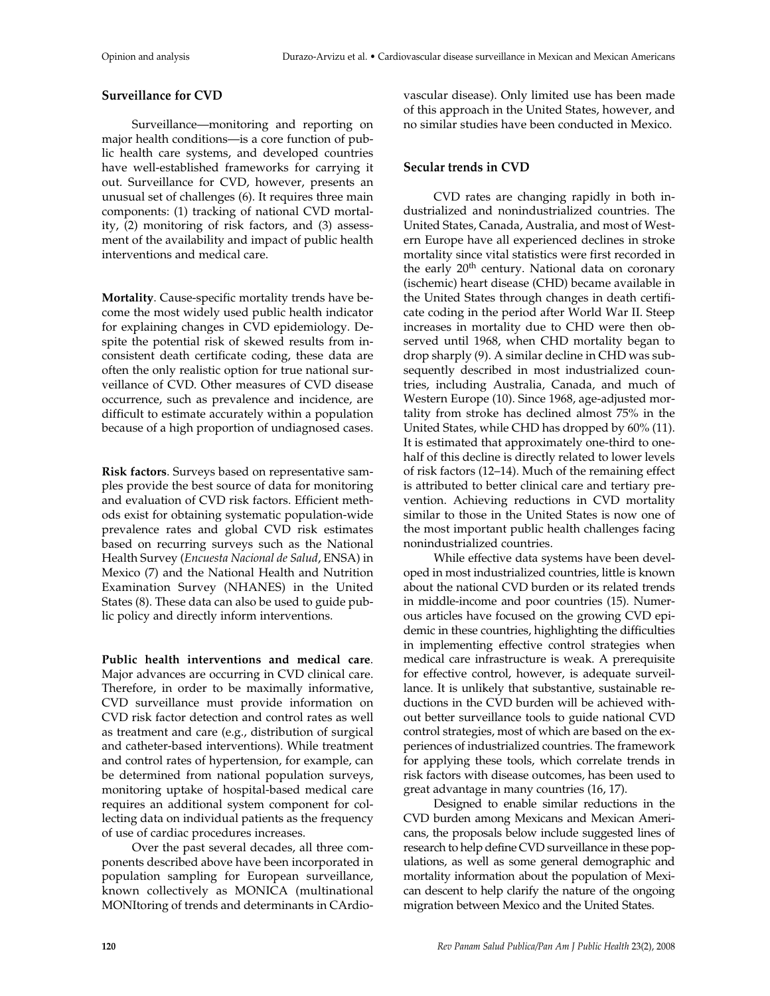# **Surveillance for CVD**

Surveillance—monitoring and reporting on major health conditions—is a core function of public health care systems, and developed countries have well-established frameworks for carrying it out. Surveillance for CVD, however, presents an unusual set of challenges (6). It requires three main components: (1) tracking of national CVD mortality, (2) monitoring of risk factors, and (3) assessment of the availability and impact of public health interventions and medical care.

**Mortality**. Cause-specific mortality trends have become the most widely used public health indicator for explaining changes in CVD epidemiology. Despite the potential risk of skewed results from inconsistent death certificate coding, these data are often the only realistic option for true national surveillance of CVD. Other measures of CVD disease occurrence, such as prevalence and incidence, are difficult to estimate accurately within a population because of a high proportion of undiagnosed cases.

**Risk factors**. Surveys based on representative samples provide the best source of data for monitoring and evaluation of CVD risk factors. Efficient methods exist for obtaining systematic population-wide prevalence rates and global CVD risk estimates based on recurring surveys such as the National Health Survey (*Encuesta Nacional de Salud*, ENSA) in Mexico (7) and the National Health and Nutrition Examination Survey (NHANES) in the United States (8). These data can also be used to guide public policy and directly inform interventions.

**Public health interventions and medical care**. Major advances are occurring in CVD clinical care. Therefore, in order to be maximally informative, CVD surveillance must provide information on CVD risk factor detection and control rates as well as treatment and care (e.g., distribution of surgical and catheter-based interventions). While treatment and control rates of hypertension, for example, can be determined from national population surveys, monitoring uptake of hospital-based medical care requires an additional system component for collecting data on individual patients as the frequency of use of cardiac procedures increases.

Over the past several decades, all three components described above have been incorporated in population sampling for European surveillance, known collectively as MONICA (multinational MONItoring of trends and determinants in CArdio-

vascular disease). Only limited use has been made of this approach in the United States, however, and no similar studies have been conducted in Mexico.

# **Secular trends in CVD**

CVD rates are changing rapidly in both industrialized and nonindustrialized countries. The United States, Canada, Australia, and most of Western Europe have all experienced declines in stroke mortality since vital statistics were first recorded in the early 20<sup>th</sup> century. National data on coronary (ischemic) heart disease (CHD) became available in the United States through changes in death certificate coding in the period after World War II. Steep increases in mortality due to CHD were then observed until 1968, when CHD mortality began to drop sharply (9). A similar decline in CHD was subsequently described in most industrialized countries, including Australia, Canada, and much of Western Europe (10). Since 1968, age-adjusted mortality from stroke has declined almost 75% in the United States, while CHD has dropped by 60% (11). It is estimated that approximately one-third to onehalf of this decline is directly related to lower levels of risk factors (12–14). Much of the remaining effect is attributed to better clinical care and tertiary prevention. Achieving reductions in CVD mortality similar to those in the United States is now one of the most important public health challenges facing nonindustrialized countries.

While effective data systems have been developed in most industrialized countries, little is known about the national CVD burden or its related trends in middle-income and poor countries (15). Numerous articles have focused on the growing CVD epidemic in these countries, highlighting the difficulties in implementing effective control strategies when medical care infrastructure is weak. A prerequisite for effective control, however, is adequate surveillance. It is unlikely that substantive, sustainable reductions in the CVD burden will be achieved without better surveillance tools to guide national CVD control strategies, most of which are based on the experiences of industrialized countries. The framework for applying these tools, which correlate trends in risk factors with disease outcomes, has been used to great advantage in many countries (16, 17).

Designed to enable similar reductions in the CVD burden among Mexicans and Mexican Americans, the proposals below include suggested lines of research to help define CVD surveillance in these populations, as well as some general demographic and mortality information about the population of Mexican descent to help clarify the nature of the ongoing migration between Mexico and the United States.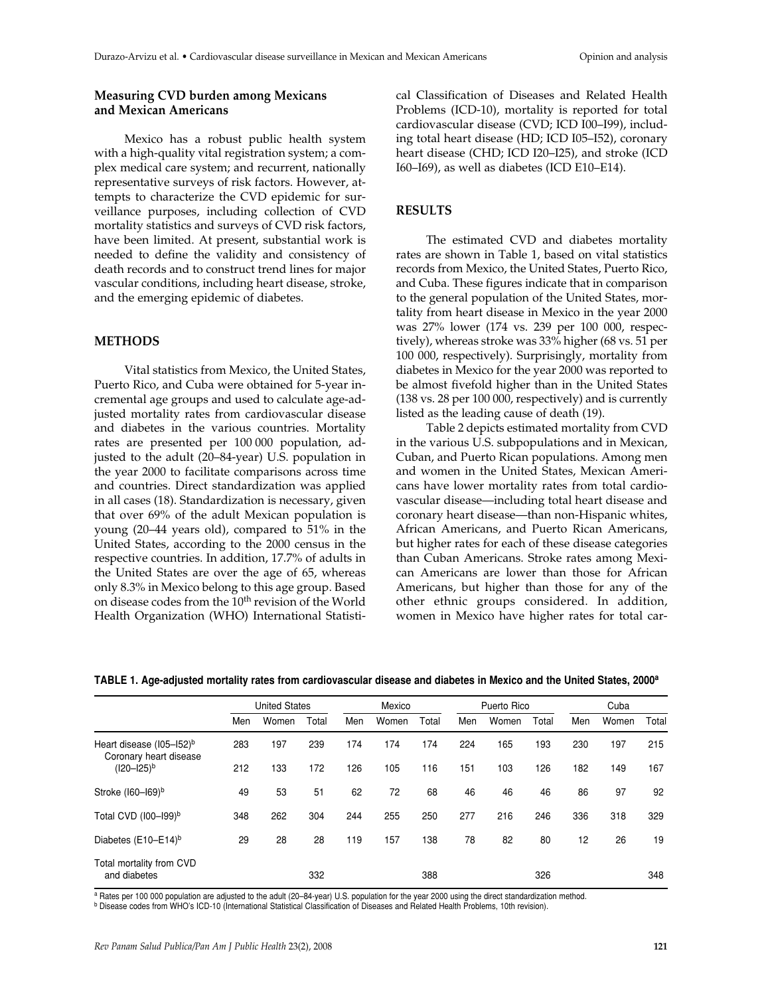#### **Measuring CVD burden among Mexicans and Mexican Americans**

Mexico has a robust public health system with a high-quality vital registration system; a complex medical care system; and recurrent, nationally representative surveys of risk factors. However, attempts to characterize the CVD epidemic for surveillance purposes, including collection of CVD mortality statistics and surveys of CVD risk factors, have been limited. At present, substantial work is needed to define the validity and consistency of death records and to construct trend lines for major vascular conditions, including heart disease, stroke, and the emerging epidemic of diabetes.

### **METHODS**

Vital statistics from Mexico, the United States, Puerto Rico, and Cuba were obtained for 5-year incremental age groups and used to calculate age-adjusted mortality rates from cardiovascular disease and diabetes in the various countries. Mortality rates are presented per 100 000 population, adjusted to the adult (20–84-year) U.S. population in the year 2000 to facilitate comparisons across time and countries. Direct standardization was applied in all cases (18). Standardization is necessary, given that over 69% of the adult Mexican population is young (20–44 years old), compared to 51% in the United States, according to the 2000 census in the respective countries. In addition, 17.7% of adults in the United States are over the age of 65, whereas only 8.3% in Mexico belong to this age group. Based on disease codes from the 10<sup>th</sup> revision of the World Health Organization (WHO) International Statistical Classification of Diseases and Related Health Problems (ICD-10), mortality is reported for total cardiovascular disease (CVD; ICD I00–I99), including total heart disease (HD; ICD I05–I52), coronary heart disease (CHD; ICD I20–I25), and stroke (ICD I60–I69), as well as diabetes (ICD E10–E14).

#### **RESULTS**

The estimated CVD and diabetes mortality rates are shown in Table 1, based on vital statistics records from Mexico, the United States, Puerto Rico, and Cuba. These figures indicate that in comparison to the general population of the United States, mortality from heart disease in Mexico in the year 2000 was 27% lower (174 vs. 239 per 100 000, respectively), whereas stroke was 33% higher (68 vs. 51 per 100 000, respectively). Surprisingly, mortality from diabetes in Mexico for the year 2000 was reported to be almost fivefold higher than in the United States (138 vs. 28 per 100 000, respectively) and is currently listed as the leading cause of death (19).

Table 2 depicts estimated mortality from CVD in the various U.S. subpopulations and in Mexican, Cuban, and Puerto Rican populations. Among men and women in the United States, Mexican Americans have lower mortality rates from total cardiovascular disease—including total heart disease and coronary heart disease—than non-Hispanic whites, African Americans, and Puerto Rican Americans, but higher rates for each of these disease categories than Cuban Americans. Stroke rates among Mexican Americans are lower than those for African Americans, but higher than those for any of the other ethnic groups considered. In addition, women in Mexico have higher rates for total car-

|                                                                | <b>United States</b> |       |       | Mexico |       |       | Puerto Rico |       |       | Cuba |       |       |
|----------------------------------------------------------------|----------------------|-------|-------|--------|-------|-------|-------------|-------|-------|------|-------|-------|
|                                                                | Men                  | Women | Total | Men    | Women | Total | Men         | Women | Total | Men  | Women | Total |
| Heart disease (I05-152) <sup>b</sup><br>Coronary heart disease | 283                  | 197   | 239   | 174    | 174   | 174   | 224         | 165   | 193   | 230  | 197   | 215   |
| $(120 - 125)^b$                                                | 212                  | 133   | 172   | 126    | 105   | 116   | 151         | 103   | 126   | 182  | 149   | 167   |
| Stroke (160-169)b                                              | 49                   | 53    | 51    | 62     | 72    | 68    | 46          | 46    | 46    | 86   | 97    | 92    |
| Total CVD (100-199) <sup>b</sup>                               | 348                  | 262   | 304   | 244    | 255   | 250   | 277         | 216   | 246   | 336  | 318   | 329   |
| Diabetes (E10-E14) <sup>b</sup>                                | 29                   | 28    | 28    | 119    | 157   | 138   | 78          | 82    | 80    | 12   | 26    | 19    |
| Total mortality from CVD<br>and diabetes                       |                      |       | 332   |        |       | 388   |             |       | 326   |      |       | 348   |

**TABLE 1. Age-adjusted mortality rates from cardiovascular disease and diabetes in Mexico and the United States, 2000a**

a Rates per 100 000 population are adjusted to the adult (20–84-year) U.S. population for the year 2000 using the direct standardization method.

<sup>b</sup> Disease codes from WHO's ICD-10 (International Statistical Classification of Diseases and Related Health Problems, 10th revision).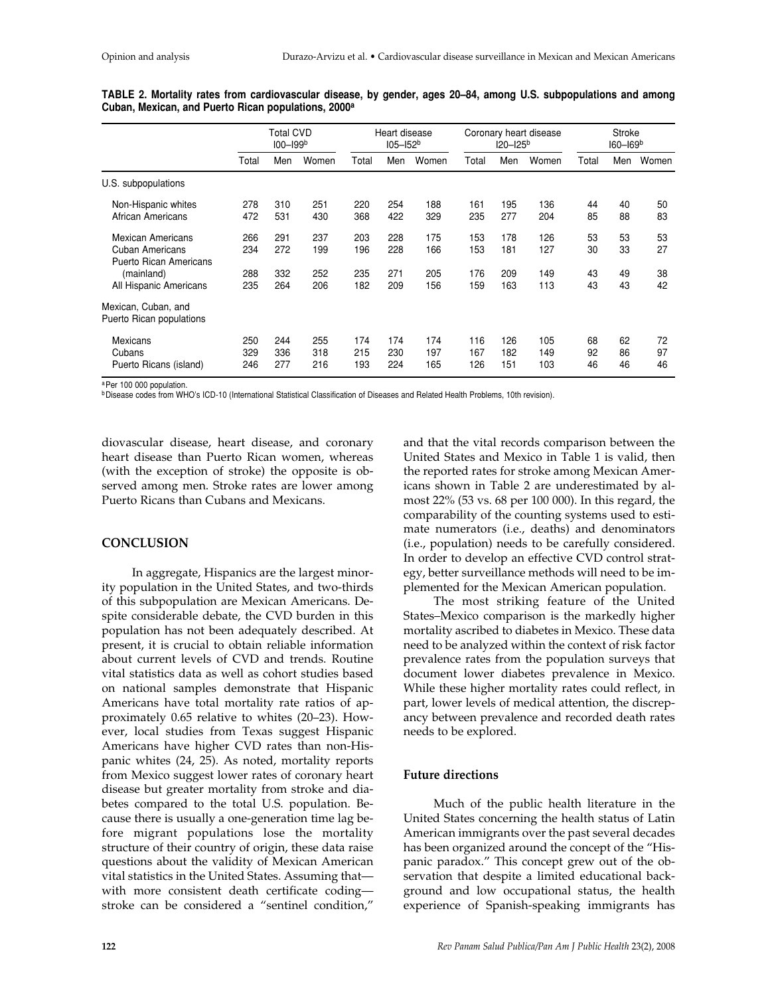|                                                         | Total CVD<br>$100 - 199b$ |     |       | Heart disease<br>$105 - 152b$ |     |       | Coronary heart disease<br>$120 - 125^{b}$ |     |       | <b>Stroke</b><br>160-169 <sup>b</sup> |     |       |
|---------------------------------------------------------|---------------------------|-----|-------|-------------------------------|-----|-------|-------------------------------------------|-----|-------|---------------------------------------|-----|-------|
|                                                         | Total                     | Men | Women | Total                         | Men | Women | Total                                     | Men | Women | Total                                 | Men | Women |
| U.S.<br>subpopulations                                  |                           |     |       |                               |     |       |                                           |     |       |                                       |     |       |
| Non-Hispanic whites                                     | 278                       | 310 | 251   | 220                           | 254 | 188   | 161                                       | 195 | 136   | 44                                    | 40  | 50    |
| African Americans                                       | 472                       | 531 | 430   | 368                           | 422 | 329   | 235                                       | 277 | 204   | 85                                    | 88  | 83    |
| <b>Mexican Americans</b>                                | 266                       | 291 | 237   | 203                           | 228 | 175   | 153                                       | 178 | 126   | 53                                    | 53  | 53    |
| <b>Cuban Americans</b><br><b>Puerto Rican Americans</b> | 234                       | 272 | 199   | 196                           | 228 | 166   | 153                                       | 181 | 127   | 30                                    | 33  | 27    |
| (mainland)                                              | 288                       | 332 | 252   | 235                           | 271 | 205   | 176                                       | 209 | 149   | 43                                    | 49  | 38    |
| All Hispanic Americans                                  | 235                       | 264 | 206   | 182                           | 209 | 156   | 159                                       | 163 | 113   | 43                                    | 43  | 42    |
| Mexican, Cuban, and<br>Puerto Rican populations         |                           |     |       |                               |     |       |                                           |     |       |                                       |     |       |
| <b>Mexicans</b>                                         | 250                       | 244 | 255   | 174                           | 174 | 174   | 116                                       | 126 | 105   | 68                                    | 62  | 72    |
| Cubans                                                  | 329                       | 336 | 318   | 215                           | 230 | 197   | 167                                       | 182 | 149   | 92                                    | 86  | 97    |
| Puerto Ricans (island)                                  | 246                       | 277 | 216   | 193                           | 224 | 165   | 126                                       | 151 | 103   | 46                                    | 46  | 46    |

**TABLE 2. Mortality rates from cardiovascular disease, by gender, ages 20–84, among U.S. subpopulations and among Cuban, Mexican, and Puerto Rican populations, 2000a**

a Per 100 000 population.

**bDisease codes from WHO's ICD-10 (International Statistical Classification of Diseases and Related Health Problems, 10th revision).** 

diovascular disease, heart disease, and coronary heart disease than Puerto Rican women, whereas (with the exception of stroke) the opposite is observed among men. Stroke rates are lower among Puerto Ricans than Cubans and Mexicans.

#### **CONCLUSION**

In aggregate, Hispanics are the largest minority population in the United States, and two-thirds of this subpopulation are Mexican Americans. Despite considerable debate, the CVD burden in this population has not been adequately described. At present, it is crucial to obtain reliable information about current levels of CVD and trends. Routine vital statistics data as well as cohort studies based on national samples demonstrate that Hispanic Americans have total mortality rate ratios of approximately 0.65 relative to whites (20–23). However, local studies from Texas suggest Hispanic Americans have higher CVD rates than non-Hispanic whites (24, 25). As noted, mortality reports from Mexico suggest lower rates of coronary heart disease but greater mortality from stroke and diabetes compared to the total U.S. population. Because there is usually a one-generation time lag before migrant populations lose the mortality structure of their country of origin, these data raise questions about the validity of Mexican American vital statistics in the United States. Assuming that with more consistent death certificate coding stroke can be considered a "sentinel condition,"

and that the vital records comparison between the United States and Mexico in Table 1 is valid, then the reported rates for stroke among Mexican Americans shown in Table 2 are underestimated by almost 22% (53 vs. 68 per 100 000). In this regard, the comparability of the counting systems used to estimate numerators (i.e., deaths) and denominators (i.e., population) needs to be carefully considered. In order to develop an effective CVD control strategy, better surveillance methods will need to be implemented for the Mexican American population.

The most striking feature of the United States–Mexico comparison is the markedly higher mortality ascribed to diabetes in Mexico. These data need to be analyzed within the context of risk factor prevalence rates from the population surveys that document lower diabetes prevalence in Mexico. While these higher mortality rates could reflect, in part, lower levels of medical attention, the discrepancy between prevalence and recorded death rates needs to be explored.

#### **Future directions**

Much of the public health literature in the United States concerning the health status of Latin American immigrants over the past several decades has been organized around the concept of the "Hispanic paradox." This concept grew out of the observation that despite a limited educational background and low occupational status, the health experience of Spanish-speaking immigrants has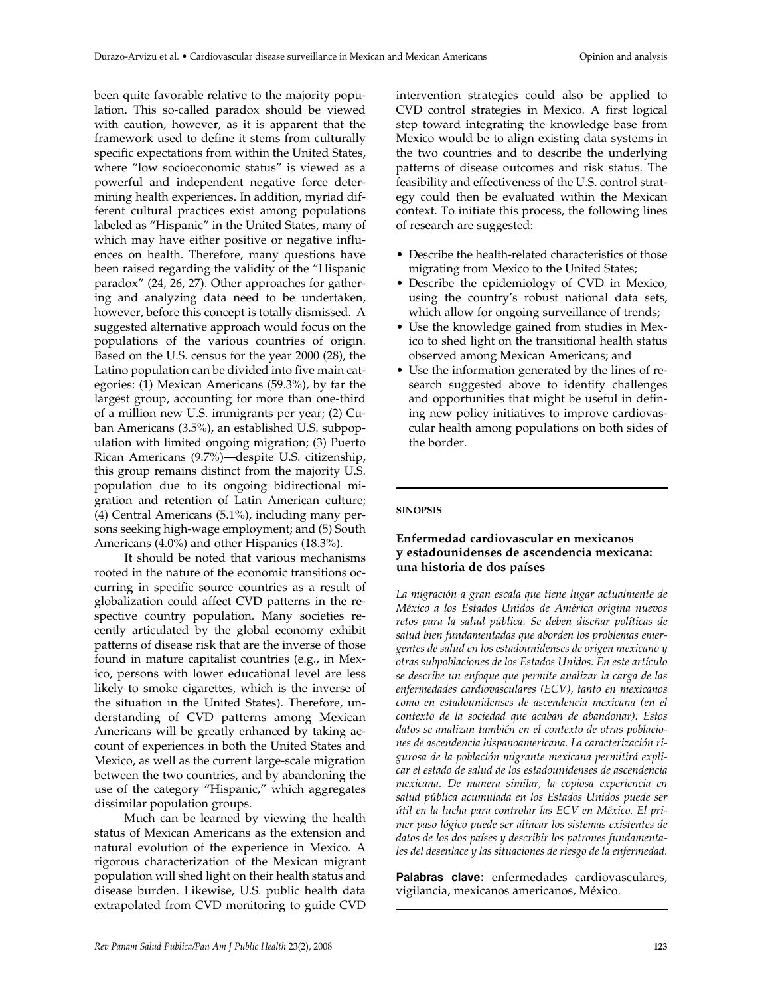been quite favorable relative to the majority population. This so-called paradox should be viewed with caution, however, as it is apparent that the framework used to define it stems from culturally specific expectations from within the United States, where "low socioeconomic status" is viewed as a powerful and independent negative force determining health experiences. In addition, myriad different cultural practices exist among populations labeled as "Hispanic" in the United States, many of which may have either positive or negative influences on health. Therefore, many questions have been raised regarding the validity of the "Hispanic paradox" (24, 26, 27). Other approaches for gathering and analyzing data need to be undertaken, however, before this concept is totally dismissed. A suggested alternative approach would focus on the populations of the various countries of origin. Based on the U.S. census for the year 2000 (28), the Latino population can be divided into five main categories: (1) Mexican Americans (59.3%), by far the largest group, accounting for more than one-third of a million new U.S. immigrants per year; (2) Cuban Americans (3.5%), an established U.S. subpopulation with limited ongoing migration; (3) Puerto Rican Americans (9.7%)—despite U.S. citizenship, this group remains distinct from the majority U.S. population due to its ongoing bidirectional migration and retention of Latin American culture; (4) Central Americans (5.1%), including many persons seeking high-wage employment; and (5) South Americans (4.0%) and other Hispanics (18.3%).

It should be noted that various mechanisms rooted in the nature of the economic transitions occurring in specific source countries as a result of globalization could affect CVD patterns in the respective country population. Many societies recently articulated by the global economy exhibit patterns of disease risk that are the inverse of those found in mature capitalist countries (e.g., in Mexico, persons with lower educational level are less likely to smoke cigarettes, which is the inverse of the situation in the United States). Therefore, understanding of CVD patterns among Mexican Americans will be greatly enhanced by taking account of experiences in both the United States and Mexico, as well as the current large-scale migration between the two countries, and by abandoning the use of the category "Hispanic," which aggregates dissimilar population groups.

Much can be learned by viewing the health status of Mexican Americans as the extension and natural evolution of the experience in Mexico. A rigorous characterization of the Mexican migrant population will shed light on their health status and disease burden. Likewise, U.S. public health data extrapolated from CVD monitoring to guide CVD

intervention strategies could also be applied to CVD control strategies in Mexico. A first logical step toward integrating the knowledge base from Mexico would be to align existing data systems in the two countries and to describe the underlying patterns of disease outcomes and risk status. The feasibility and effectiveness of the U.S. control strategy could then be evaluated within the Mexican context. To initiate this process, the following lines of research are suggested:

- Describe the health-related characteristics of those migrating from Mexico to the United States;
- Describe the epidemiology of CVD in Mexico, using the country's robust national data sets, which allow for ongoing surveillance of trends;
- Use the knowledge gained from studies in Mexico to shed light on the transitional health status observed among Mexican Americans; and
- Use the information generated by the lines of research suggested above to identify challenges and opportunities that might be useful in defining new policy initiatives to improve cardiovascular health among populations on both sides of the border.

#### **SINOPSIS**

## **Enfermedad cardiovascular en mexicanos y estadounidenses de ascendencia mexicana: una historia de dos países**

*La migración a gran escala que tiene lugar actualmente de México a los Estados Unidos de América origina nuevos retos para la salud pública. Se deben diseñar políticas de salud bien fundamentadas que aborden los problemas emergentes de salud en los estadounidenses de origen mexicano y otras subpoblaciones de los Estados Unidos. En este artículo se describe un enfoque que permite analizar la carga de las enfermedades cardiovasculares (ECV), tanto en mexicanos como en estadounidenses de ascendencia mexicana (en el contexto de la sociedad que acaban de abandonar). Estos datos se analizan también en el contexto de otras poblaciones de ascendencia hispanoamericana. La caracterización rigurosa de la población migrante mexicana permitirá explicar el estado de salud de los estadounidenses de ascendencia mexicana. De manera similar, la copiosa experiencia en salud pública acumulada en los Estados Unidos puede ser útil en la lucha para controlar las ECV en México. El primer paso lógico puede ser alinear los sistemas existentes de datos de los dos países y describir los patrones fundamentales del desenlace y las situaciones de riesgo de la enfermedad.*

**Palabras clave:** enfermedades cardiovasculares, vigilancia, mexicanos americanos, México.